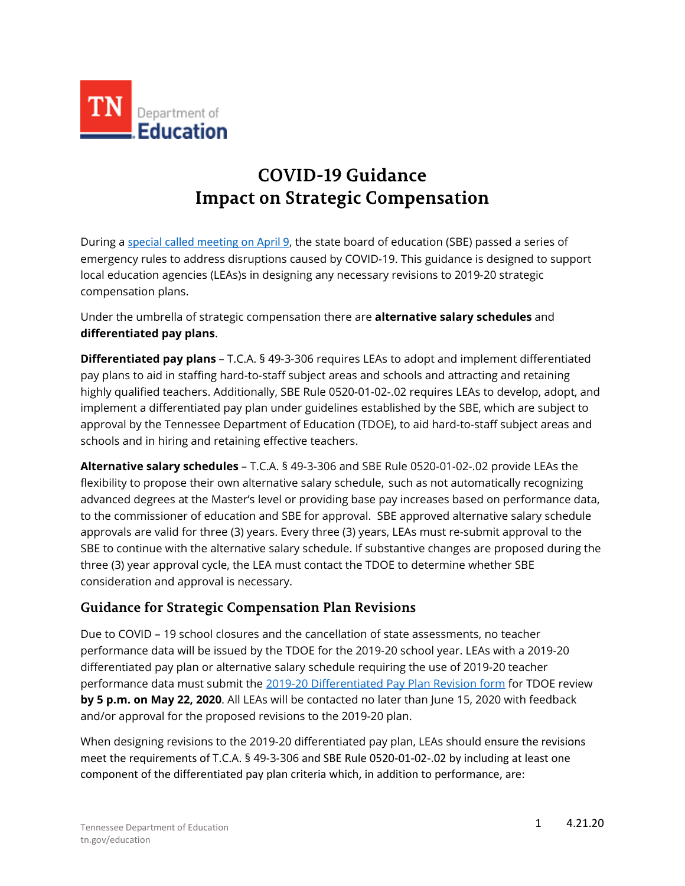

## **COVID-19 Guidance Impact on Strategic Compensation**

During a [special called meeting on April 9](https://www.tn.gov/sbe/meetings/meetings-calendar/2020/4/9/april-9--2020-sbe-conference-call-meeting.html), the state board of education (SBE) passed a series of emergency rules to address disruptions caused by COVID-19. This guidance is designed to support local education agencies (LEAs)s in designing any necessary revisions to 2019-20 strategic compensation plans.

Under the umbrella of strategic compensation there are **alternative salary schedules** and **differentiated pay plans**.

**Differentiated pay plans** – T.C.A. § 49-3-306 requires LEAs to adopt and implement differentiated pay plans to aid in staffing hard-to-staff subject areas and schools and attracting and retaining highly qualified teachers. Additionally, SBE Rule 0520-01-02-.02 requires LEAs to develop, adopt, and implement a differentiated pay plan under guidelines established by the SBE, which are subject to approval by the Tennessee Department of Education (TDOE), to aid hard-to-staff subject areas and schools and in hiring and retaining effective teachers.

**Alternative salary schedules** – T.C.A. § 49-3-306 and SBE Rule 0520-01-02-.02 provide LEAs the flexibility to propose their own alternative salary schedule, such as not automatically recognizing advanced degrees at the Master's level or providing base pay increases based on performance data, to the commissioner of education and SBE for approval. SBE approved alternative salary schedule approvals are valid for three (3) years. Every three (3) years, LEAs must re-submit approval to the SBE to continue with the alternative salary schedule. If substantive changes are proposed during the three (3) year approval cycle, the LEA must contact the TDOE to determine whether SBE consideration and approval is necessary.

## **Guidance for Strategic Compensation Plan Revisions**

Due to COVID – 19 school closures and the cancellation of state assessments, no teacher performance data will be issued by the TDOE for the 2019-20 school year. LEAs with a 2019-20 differentiated pay plan or alternative salary schedule requiring the use of 2019-20 teacher performance data must submit the [2019-20 Differentiated Pay Plan Revision form](https://stateoftennessee.formstack.com/forms/201920_differentiated_pay_plan_revision_form) for TDOE review **by 5 p.m. on May 22, 2020**. All LEAs will be contacted no later than June 15, 2020 with feedback and/or approval for the proposed revisions to the 2019-20 plan.

When designing revisions to the 2019-20 differentiated pay plan, LEAs should ensure the revisions meet the requirements of T.C.A. § 49-3-306 and SBE Rule 0520-01-02-.02 by including at least one component of the differentiated pay plan criteria which, in addition to performance, are: